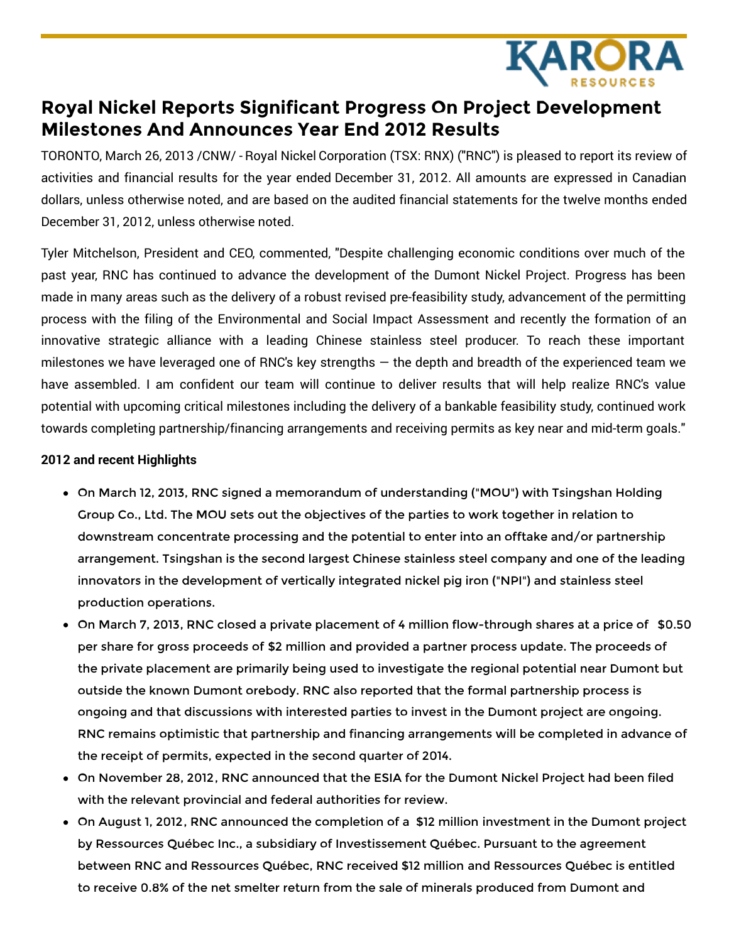

# **Royal Nickel Reports Significant Progress On Project Development Milestones And Announces Year End 2012 Results**

TORONTO, March 26, 2013 /CNW/ - Royal Nickel Corporation (TSX: RNX) ("RNC") is pleased to report its review of activities and financial results for the year ended December 31, 2012. All amounts are expressed in Canadian dollars, unless otherwise noted, and are based on the audited financial statements for the twelve months ended December 31, 2012, unless otherwise noted.

Tyler Mitchelson, President and CEO, commented, "Despite challenging economic conditions over much of the past year, RNC has continued to advance the development of the Dumont Nickel Project. Progress has been made in many areas such as the delivery of a robust revised pre-feasibility study, advancement of the permitting process with the filing of the Environmental and Social Impact Assessment and recently the formation of an innovative strategic alliance with a leading Chinese stainless steel producer. To reach these important milestones we have leveraged one of RNC's key strengths  $-$  the depth and breadth of the experienced team we have assembled. I am confident our team will continue to deliver results that will help realize RNC's value potential with upcoming critical milestones including the delivery of a bankable feasibility study, continued work towards completing partnership/financing arrangements and receiving permits as key near and mid-term goals."

#### **2012 and recent Highlights**

- On March 12, 2013, RNC signed a memorandum of understanding ("MOU") with Tsingshan Holding Group Co., Ltd. The MOU sets out the objectives of the parties to work together in relation to downstream concentrate processing and the potential to enter into an offtake and/or partnership arrangement. Tsingshan is the second largest Chinese stainless steel company and one of the leading innovators in the development of vertically integrated nickel pig iron ("NPI") and stainless steel production operations.
- On March 7, 2013, RNC closed a private placement of 4 million flow-through shares at a price of \$0.50 per share for gross proceeds of \$2 million and provided a partner process update. The proceeds of the private placement are primarily being used to investigate the regional potential near Dumont but outside the known Dumont orebody. RNC also reported that the formal partnership process is ongoing and that discussions with interested parties to invest in the Dumont project are ongoing. RNC remains optimistic that partnership and financing arrangements will be completed in advance of the receipt of permits, expected in the second quarter of 2014.
- On November 28, 2012, RNC announced that the ESIA for the Dumont Nickel Project had been filed with the relevant provincial and federal authorities for review.
- On August 1, 2012, RNC announced the completion of a \$12 million investment in the Dumont project by Ressources Québec Inc., a subsidiary of Investissement Québec. Pursuant to the agreement between RNC and Ressources Québec, RNC received \$12 million and Ressources Québec is entitled to receive 0.8% of the net smelter return from the sale of minerals produced from Dumont and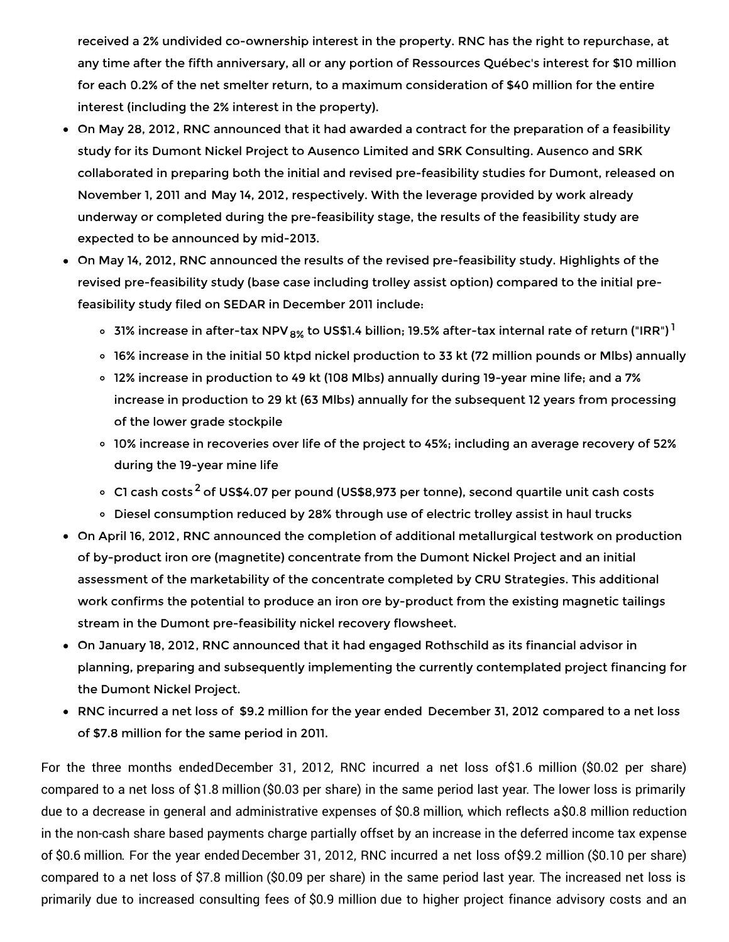received a 2% undivided co-ownership interest in the property. RNC has the right to repurchase, at any time after the fifth anniversary, all or any portion of Ressources Québec's interest for \$10 million for each 0.2% of the net smelter return, to a maximum consideration of \$40 million for the entire interest (including the 2% interest in the property).

- On May 28, 2012, RNC announced that it had awarded a contract for the preparation of a feasibility study for its Dumont Nickel Project to Ausenco Limited and SRK Consulting. Ausenco and SRK collaborated in preparing both the initial and revised pre-feasibility studies for Dumont, released on November 1, 2011 and May 14, 2012, respectively. With the leverage provided by work already underway or completed during the pre-feasibility stage, the results of the feasibility study are expected to be announced by mid-2013.
- On May 14, 2012, RNC announced the results of the revised pre-feasibility study. Highlights of the revised pre-feasibility study (base case including trolley assist option) compared to the initial prefeasibility study filed on SEDAR in December 2011 include:
	- 31% increase in after-tax NPV  $_{8\%}$  to US\$1.4 billion; 19.5% after-tax internal rate of return ("IRR")  $^{\rm l}$
	- 16% increase in the initial 50 ktpd nickel production to 33 kt (72 million pounds or Mlbs) annually
	- 12% increase in production to 49 kt (108 Mlbs) annually during 19-year mine life; and a 7% increase in production to 29 kt (63 Mlbs) annually for the subsequent 12 years from processing of the lower grade stockpile
	- 10% increase in recoveries over life of the project to 45%; including an average recovery of 52% during the 19-year mine life
	- C1 cash costs<sup>2</sup> of US\$4.07 per pound (US\$8,973 per tonne), second quartile unit cash costs
	- o Diesel consumption reduced by 28% through use of electric trolley assist in haul trucks
- On April 16, 2012, RNC announced the completion of additional metallurgical testwork on production of by-product iron ore (magnetite) concentrate from the Dumont Nickel Project and an initial assessment of the marketability of the concentrate completed by CRU Strategies. This additional work confirms the potential to produce an iron ore by-product from the existing magnetic tailings stream in the Dumont pre-feasibility nickel recovery flowsheet.
- On January 18, 2012, RNC announced that it had engaged Rothschild as its financial advisor in planning, preparing and subsequently implementing the currently contemplated project financing for the Dumont Nickel Project.
- RNC incurred a net loss of \$9.2 million for the year ended December 31, 2012 compared to a net loss of \$7.8 million for the same period in 2011.

For the three months endedDecember 31, 2012, RNC incurred a net loss of\$1.6 million (\$0.02 per share) compared to a net loss of \$1.8 million (\$0.03 per share) in the same period last year. The lower loss is primarily due to a decrease in general and administrative expenses of \$0.8 million, which reflects a\$0.8 million reduction in the non-cash share based payments charge partially offset by an increase in the deferred income tax expense of \$0.6 million. For the year endedDecember 31, 2012, RNC incurred a net loss of\$9.2 million (\$0.10 per share) compared to a net loss of \$7.8 million (\$0.09 per share) in the same period last year. The increased net loss is primarily due to increased consulting fees of \$0.9 million due to higher project finance advisory costs and an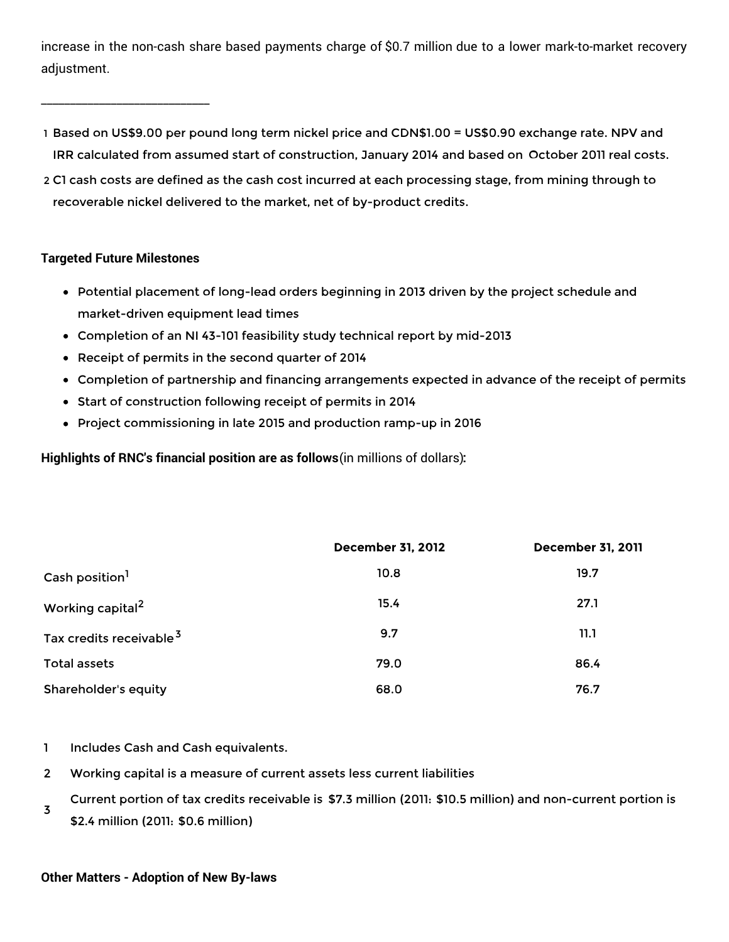increase in the non-cash share based payments charge of \$0.7 million due to a lower mark-to-market recovery adjustment.

- 1 Based on US\$9.00 per pound long term nickel price and CDN\$1.00 = US\$0.90 exchange rate. NPV and IRR calculated from assumed start of construction, January 2014 and based on October 2011 real costs.
- 2 C1 cash costs are defined as the cash cost incurred at each processing stage, from mining through to recoverable nickel delivered to the market, net of by-product credits.

## **Targeted Future Milestones**

\_\_\_\_\_\_\_\_\_\_\_\_\_\_\_\_\_\_\_\_\_\_\_\_\_\_\_\_\_

- Potential placement of long-lead orders beginning in 2013 driven by the project schedule and market-driven equipment lead times
- Completion of an NI 43-101 feasibility study technical report by mid-2013
- Receipt of permits in the second quarter of 2014
- Completion of partnership and financing arrangements expected in advance of the receipt of permits
- Start of construction following receipt of permits in 2014
- Project commissioning in late 2015 and production ramp-up in 2016

**Highlights of RNC's financial position are as follows**(in millions of dollars)**:**

|                                     | <b>December 31, 2012</b> | <b>December 31, 2011</b> |
|-------------------------------------|--------------------------|--------------------------|
| Cash position <sup>1</sup>          | 10.8                     | 19.7                     |
| Working capital <sup>2</sup>        | 15.4                     | 27.1                     |
| Tax credits receivable <sup>3</sup> | 9.7                      | 11.1                     |
| Total assets                        | 79.0                     | 86.4                     |
| Shareholder's equity                | 68.0                     | 76.7                     |

- 1 Includes Cash and Cash equivalents.
- 2 Working capital is a measure of current assets less current liabilities
- 3 Current portion of tax credits receivable is \$7.3 million (2011: \$10.5 million) and non-current portion is \$2.4 million (2011: \$0.6 million)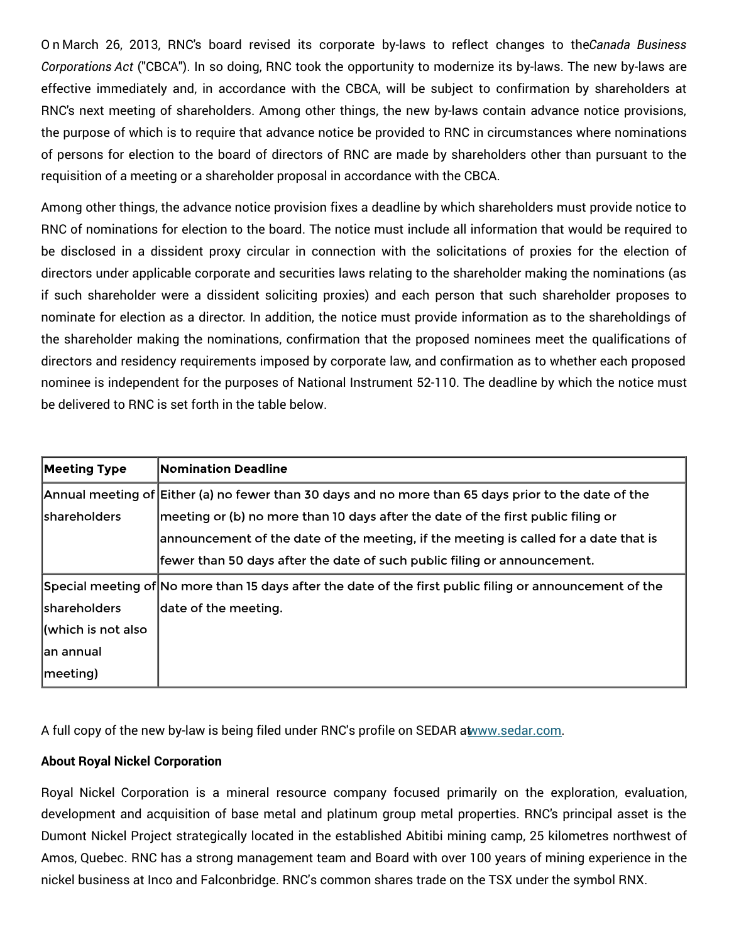O n March 26, 2013, RNC's board revised its corporate by-laws to reflect changes to the*Canada Business Corporations Act* ("CBCA"). In so doing, RNC took the opportunity to modernize its by-laws. The new by-laws are effective immediately and, in accordance with the CBCA, will be subject to confirmation by shareholders at RNC's next meeting of shareholders. Among other things, the new by-laws contain advance notice provisions, the purpose of which is to require that advance notice be provided to RNC in circumstances where nominations of persons for election to the board of directors of RNC are made by shareholders other than pursuant to the requisition of a meeting or a shareholder proposal in accordance with the CBCA.

Among other things, the advance notice provision fixes a deadline by which shareholders must provide notice to RNC of nominations for election to the board. The notice must include all information that would be required to be disclosed in a dissident proxy circular in connection with the solicitations of proxies for the election of directors under applicable corporate and securities laws relating to the shareholder making the nominations (as if such shareholder were a dissident soliciting proxies) and each person that such shareholder proposes to nominate for election as a director. In addition, the notice must provide information as to the shareholdings of the shareholder making the nominations, confirmation that the proposed nominees meet the qualifications of directors and residency requirements imposed by corporate law, and confirmation as to whether each proposed nominee is independent for the purposes of National Instrument 52-110. The deadline by which the notice must be delivered to RNC is set forth in the table below.

| <b>Meeting Type</b>                                                                                      | Nomination Deadline                                                                                  |  |
|----------------------------------------------------------------------------------------------------------|------------------------------------------------------------------------------------------------------|--|
|                                                                                                          | Annual meeting of Either (a) no fewer than 30 days and no more than 65 days prior to the date of the |  |
| <b>shareholders</b>                                                                                      | meeting or (b) no more than 10 days after the date of the first public filing or                     |  |
|                                                                                                          | announcement of the date of the meeting, if the meeting is called for a date that is                 |  |
|                                                                                                          | fewer than 50 days after the date of such public filing or announcement.                             |  |
| Special meeting of No more than 15 days after the date of the first public filing or announcement of the |                                                                                                      |  |
| shareholders                                                                                             | date of the meeting.                                                                                 |  |
| (which is not also                                                                                       |                                                                                                      |  |
| an annual                                                                                                |                                                                                                      |  |
| meeting)                                                                                                 |                                                                                                      |  |

A full copy of the new by-law is being filed under RNC's profile on SEDAR a[twww.sedar.com](http://www.sedar.com).

## **About Royal Nickel Corporation**

Royal Nickel Corporation is a mineral resource company focused primarily on the exploration, evaluation, development and acquisition of base metal and platinum group metal properties. RNC's principal asset is the Dumont Nickel Project strategically located in the established Abitibi mining camp, 25 kilometres northwest of Amos, Quebec. RNC has a strong management team and Board with over 100 years of mining experience in the nickel business at Inco and Falconbridge. RNC's common shares trade on the TSX under the symbol RNX.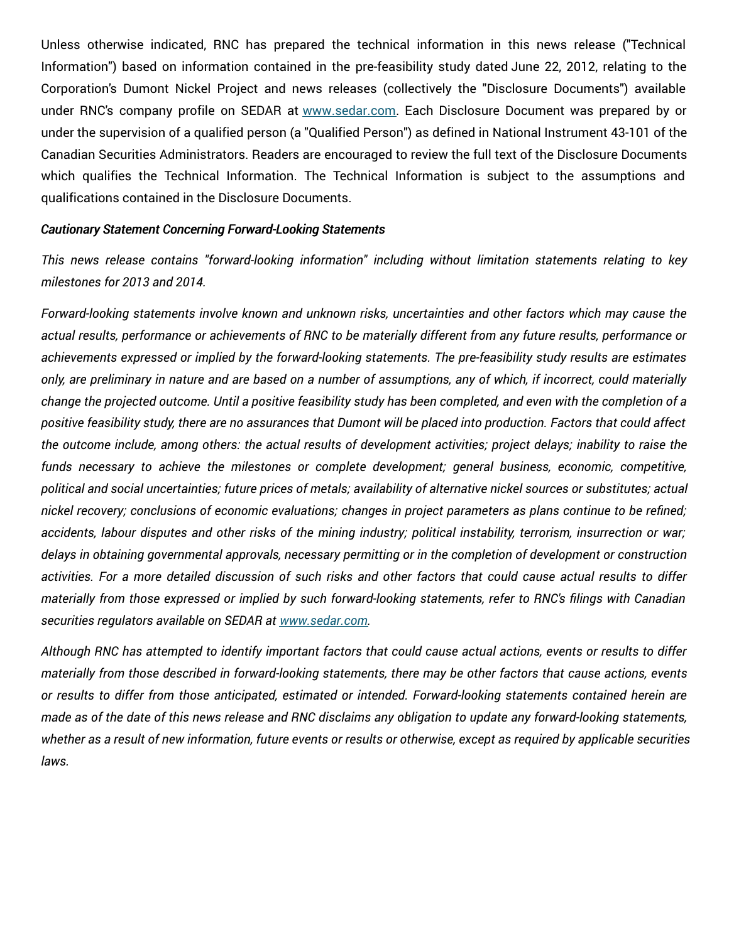Unless otherwise indicated, RNC has prepared the technical information in this news release ("Technical Information") based on information contained in the pre-feasibility study dated June 22, 2012, relating to the Corporation's Dumont Nickel Project and news releases (collectively the "Disclosure Documents") available under RNC's company profile on SEDAR at [www.sedar.com](http://www.sedar.com). Each Disclosure Document was prepared by or under the supervision of a qualified person (a "Qualified Person") as defined in National Instrument 43-101 of the Canadian Securities Administrators. Readers are encouraged to review the full text of the Disclosure Documents which qualifies the Technical Information. The Technical Information is subject to the assumptions and qualifications contained in the Disclosure Documents.

#### *Cautionary Statement Concerning Forward-Looking Statements*

*This news release contains "forward-looking information" including without limitation statements relating to key milestones for 2013 and 2014.*

*Forward-looking statements involve known and unknown risks, uncertainties and other factors which may cause the* actual results, performance or achievements of RNC to be materially different from any future results, performance or *achievements expressed or implied by the forward-looking statements. The pre-feasibility study results are estimates* only, are preliminary in nature and are based on a number of assumptions, any of which, if incorrect, could materially change the projected outcome. Until a positive feasibility study has been completed, and even with the completion of a positive feasibility study, there are no assurances that Dumont will be placed into production. Factors that could affect the outcome include, among others: the actual results of development activities; project delays; inability to raise the *funds necessary to achieve the milestones or complete development; general business, economic, competitive,* political and social uncertainties; future prices of metals; availability of alternative nickel sources or substitutes; actual nickel recovery; conclusions of economic evaluations; changes in project parameters as plans continue to be refined; accidents, labour disputes and other risks of the mining industry; political instability, terrorism, insurrection or war; *delays in obtaining governmental approvals, necessary permitting or in the completion of development or construction* activities. For a more detailed discussion of such risks and other factors that could cause actual results to differ materially from those expressed or implied by such forward-looking statements, refer to RNC's filings with Canadian *securities regulators available on SEDAR at [www.sedar.com](http://www.sedar.com).*

Although RNC has attempted to identify important factors that could cause actual actions, events or results to differ materially from those described in forward-looking statements, there may be other factors that cause actions, events *or results to differ from those anticipated, estimated or intended. Forward-looking statements contained herein are* made as of the date of this news release and RNC disclaims any obligation to update any forward-looking statements, whether as a result of new information, future events or results or otherwise, except as required by applicable securities *laws.*